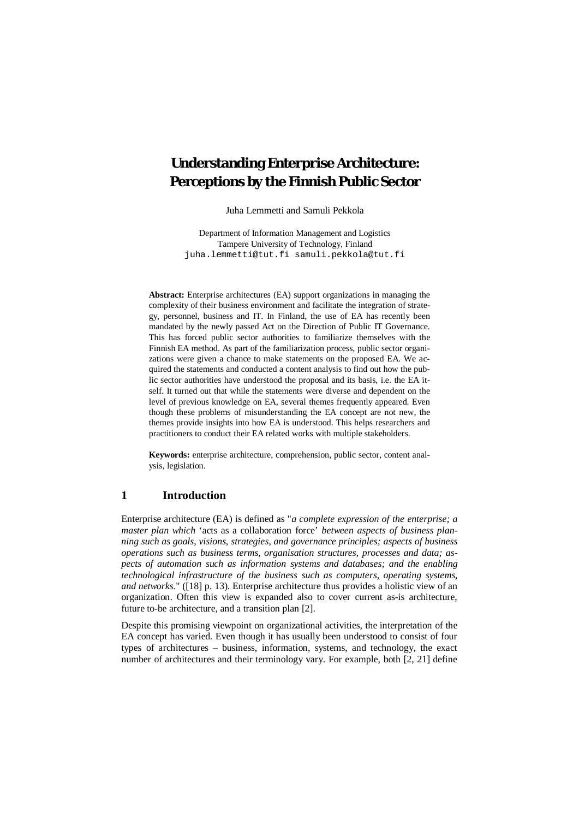# **Understanding Enterprise Architecture: Perceptions by the Finnish Public Sector**

Juha Lemmetti and Samuli Pekkola

Department of Information Management and Logistics Tampere University of Technology, Finland juha.lemmetti@tut.fi samuli.pekkola@tut.fi

**Abstract:** Enterprise architectures (EA) support organizations in managing the complexity of their business environment and facilitate the integration of strategy, personnel, business and IT. In Finland, the use of EA has recently been mandated by the newly passed Act on the Direction of Public IT Governance. This has forced public sector authorities to familiarize themselves with the Finnish EA method. As part of the familiarization process, public sector organizations were given a chance to make statements on the proposed EA. We acquired the statements and conducted a content analysis to find out how the public sector authorities have understood the proposal and its basis, i.e. the EA itself. It turned out that while the statements were diverse and dependent on the level of previous knowledge on EA, several themes frequently appeared. Even though these problems of misunderstanding the EA concept are not new, the themes provide insights into how EA is understood. This helps researchers and practitioners to conduct their EA related works with multiple stakeholders.

**Keywords:** enterprise architecture, comprehension, public sector, content analysis, legislation.

## **1 Introduction**

Enterprise architecture (EA) is defined as "*a complete expression of the enterprise; a master plan which* 'acts as a collaboration force' *between aspects of business planning such as goals, visions, strategies, and governance principles; aspects of business operations such as business terms, organisation structures, processes and data; aspects of automation such as information systems and databases; and the enabling technological infrastructure of the business such as computers, operating systems, and networks.*" ([18] p. 13). Enterprise architecture thus provides a holistic view of an organization. Often this view is expanded also to cover current as-is architecture, future to-be architecture, and a transition plan [2].

Despite this promising viewpoint on organizational activities, the interpretation of the EA concept has varied. Even though it has usually been understood to consist of four types of architectures – business, information, systems, and technology, the exact number of architectures and their terminology vary. For example, both [2, 21] define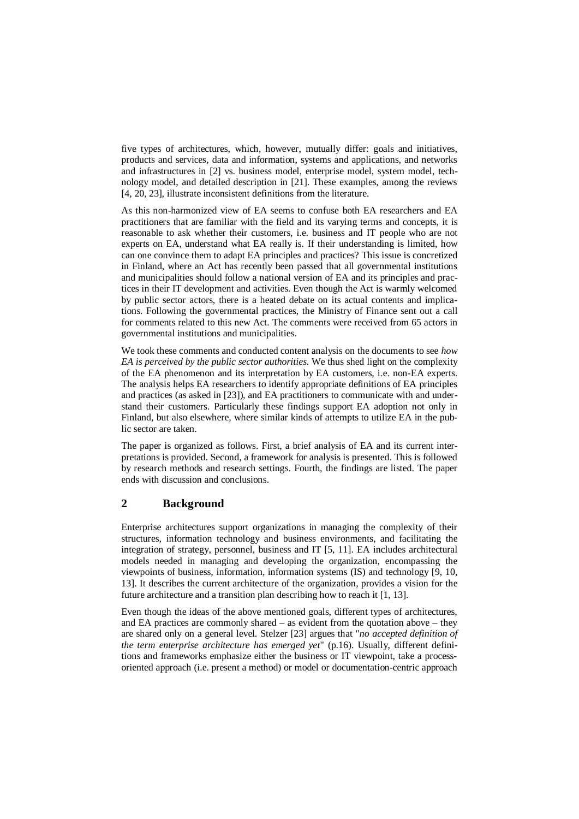five types of architectures, which, however, mutually differ: goals and initiatives, products and services, data and information, systems and applications, and networks and infrastructures in [2] vs. business model, enterprise model, system model, technology model, and detailed description in [21]. These examples, among the reviews [4, 20, 23], illustrate inconsistent definitions from the literature.

As this non-harmonized view of EA seems to confuse both EA researchers and EA practitioners that are familiar with the field and its varying terms and concepts, it is reasonable to ask whether their customers, i.e. business and IT people who are not experts on EA, understand what EA really is. If their understanding is limited, how can one convince them to adapt EA principles and practices? This issue is concretized in Finland, where an Act has recently been passed that all governmental institutions and municipalities should follow a national version of EA and its principles and practices in their IT development and activities. Even though the Act is warmly welcomed by public sector actors, there is a heated debate on its actual contents and implications. Following the governmental practices, the Ministry of Finance sent out a call for comments related to this new Act. The comments were received from 65 actors in governmental institutions and municipalities.

We took these comments and conducted content analysis on the documents to see *how EA is perceived by the public sector authorities*. We thus shed light on the complexity of the EA phenomenon and its interpretation by EA customers, i.e. non-EA experts. The analysis helps EA researchers to identify appropriate definitions of EA principles and practices (as asked in [23]), and EA practitioners to communicate with and understand their customers. Particularly these findings support EA adoption not only in Finland, but also elsewhere, where similar kinds of attempts to utilize EA in the public sector are taken.

The paper is organized as follows. First, a brief analysis of EA and its current interpretations is provided. Second, a framework for analysis is presented. This is followed by research methods and research settings. Fourth, the findings are listed. The paper ends with discussion and conclusions.

## **2 Background**

Enterprise architectures support organizations in managing the complexity of their structures, information technology and business environments, and facilitating the integration of strategy, personnel, business and IT [5, 11]. EA includes architectural models needed in managing and developing the organization, encompassing the viewpoints of business, information, information systems (IS) and technology [9, 10, 13]. It describes the current architecture of the organization, provides a vision for the future architecture and a transition plan describing how to reach it [1, 13].

Even though the ideas of the above mentioned goals, different types of architectures, and EA practices are commonly shared – as evident from the quotation above – they are shared only on a general level. Stelzer [23] argues that "*no accepted definition of the term enterprise architecture has emerged yet*" (p.16). Usually, different definitions and frameworks emphasize either the business or IT viewpoint, take a processoriented approach (i.e. present a method) or model or documentation-centric approach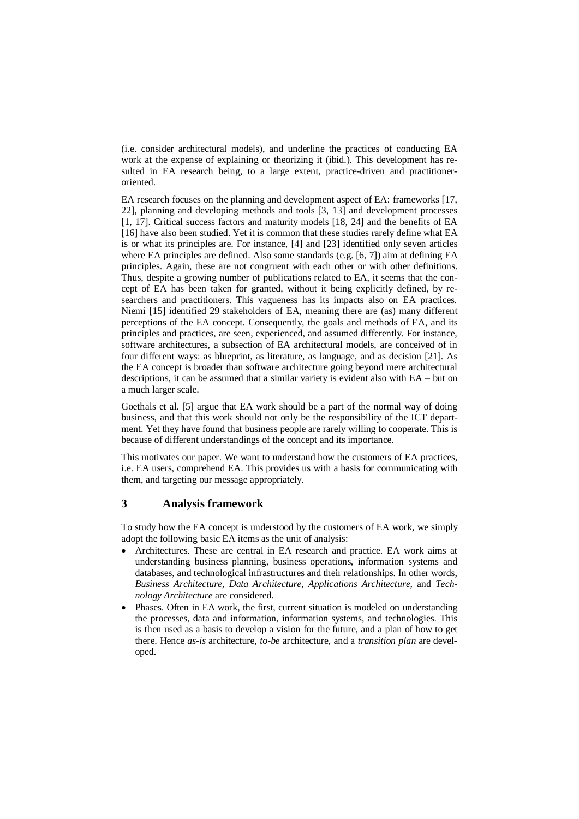(i.e. consider architectural models), and underline the practices of conducting EA work at the expense of explaining or theorizing it (ibid.). This development has resulted in EA research being, to a large extent, practice-driven and practitioneroriented.

EA research focuses on the planning and development aspect of EA: frameworks [17, 22], planning and developing methods and tools [3, 13] and development processes [1, 17]. Critical success factors and maturity models [18, 24] and the benefits of EA [16] have also been studied. Yet it is common that these studies rarely define what EA is or what its principles are. For instance, [4] and [23] identified only seven articles where EA principles are defined. Also some standards (e.g. [6, 7]) aim at defining EA principles. Again, these are not congruent with each other or with other definitions. Thus, despite a growing number of publications related to EA, it seems that the concept of EA has been taken for granted, without it being explicitly defined, by researchers and practitioners. This vagueness has its impacts also on EA practices. Niemi [15] identified 29 stakeholders of EA, meaning there are (as) many different perceptions of the EA concept. Consequently, the goals and methods of EA, and its principles and practices, are seen, experienced, and assumed differently. For instance, software architectures, a subsection of EA architectural models, are conceived of in four different ways: as blueprint, as literature, as language, and as decision [21]. As the EA concept is broader than software architecture going beyond mere architectural descriptions, it can be assumed that a similar variety is evident also with EA – but on a much larger scale.

Goethals et al. [5] argue that EA work should be a part of the normal way of doing business, and that this work should not only be the responsibility of the ICT department. Yet they have found that business people are rarely willing to cooperate. This is because of different understandings of the concept and its importance.

This motivates our paper. We want to understand how the customers of EA practices, i.e. EA users, comprehend EA. This provides us with a basis for communicating with them, and targeting our message appropriately.

## **3 Analysis framework**

To study how the EA concept is understood by the customers of EA work, we simply adopt the following basic EA items as the unit of analysis:

- Architectures. These are central in EA research and practice. EA work aims at understanding business planning, business operations, information systems and databases, and technological infrastructures and their relationships. In other words, *Business Architecture*, *Data Architecture*, *Applications Architecture*, and *Technology Architecture* are considered.
- Phases. Often in EA work, the first, current situation is modeled on understanding the processes, data and information, information systems, and technologies. This is then used as a basis to develop a vision for the future, and a plan of how to get there. Hence *as-is* architecture, *to-be* architecture, and a *transition plan* are developed.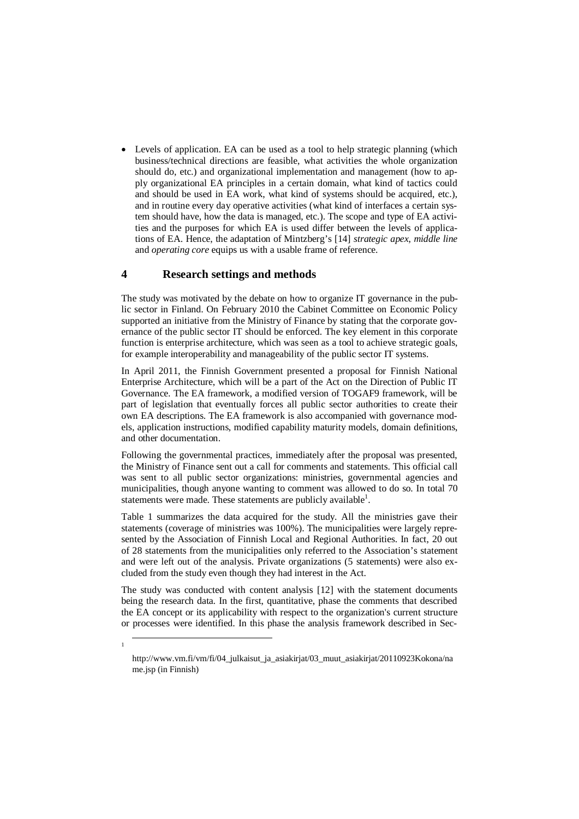$\bullet$  Levels of application. EA can be used as a tool to help strategic planning (which business/technical directions are feasible, what activities the whole organization should do, etc.) and organizational implementation and management (how to apply organizational EA principles in a certain domain, what kind of tactics could and should be used in EA work, what kind of systems should be acquired, etc.), and in routine every day operative activities (what kind of interfaces a certain system should have, how the data is managed, etc.). The scope and type of EA activities and the purposes for which EA is used differ between the levels of applications of EA. Hence, the adaptation of Mintzberg's [14] *strategic apex*, *middle line* and *operating core* equips us with a usable frame of reference.

## **4 Research settings and methods**

-1

The study was motivated by the debate on how to organize IT governance in the public sector in Finland. On February 2010 the Cabinet Committee on Economic Policy supported an initiative from the Ministry of Finance by stating that the corporate governance of the public sector IT should be enforced. The key element in this corporate function is enterprise architecture, which was seen as a tool to achieve strategic goals, for example interoperability and manageability of the public sector IT systems.

In April 2011, the Finnish Government presented a proposal for Finnish National Enterprise Architecture, which will be a part of the Act on the Direction of Public IT Governance. The EA framework, a modified version of TOGAF9 framework, will be part of legislation that eventually forces all public sector authorities to create their own EA descriptions. The EA framework is also accompanied with governance models, application instructions, modified capability maturity models, domain definitions, and other documentation.

Following the governmental practices, immediately after the proposal was presented, the Ministry of Finance sent out a call for comments and statements. This official call was sent to all public sector organizations: ministries, governmental agencies and municipalities, though anyone wanting to comment was allowed to do so. In total 70 statements were made. These statements are publicly available<sup>1</sup>.

Table 1 summarizes the data acquired for the study. All the ministries gave their statements (coverage of ministries was 100%). The municipalities were largely represented by the Association of Finnish Local and Regional Authorities. In fact, 20 out of 28 statements from the municipalities only referred to the Association's statement and were left out of the analysis. Private organizations (5 statements) were also excluded from the study even though they had interest in the Act.

The study was conducted with content analysis [12] with the statement documents being the research data. In the first, quantitative, phase the comments that described the EA concept or its applicability with respect to the organization's current structure or processes were identified. In this phase the analysis framework described in Sec-

http://www.vm.fi/vm/fi/04\_julkaisut\_ja\_asiakirjat/03\_muut\_asiakirjat/20110923Kokona/na me.jsp (in Finnish)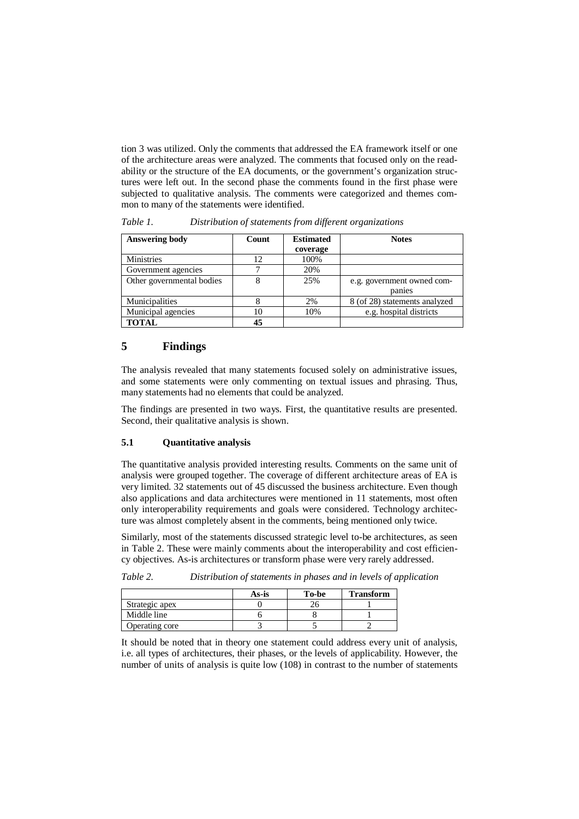tion 3 was utilized. Only the comments that addressed the EA framework itself or one of the architecture areas were analyzed. The comments that focused only on the readability or the structure of the EA documents, or the government's organization structures were left out. In the second phase the comments found in the first phase were subjected to qualitative analysis. The comments were categorized and themes common to many of the statements were identified.

| <b>Answering body</b>     | Count | <b>Estimated</b> | <b>Notes</b>                  |  |
|---------------------------|-------|------------------|-------------------------------|--|
|                           |       | coverage         |                               |  |
| <b>Ministries</b>         | 12    | 100%             |                               |  |
| Government agencies       |       | 20%              |                               |  |
| Other governmental bodies | 8     | 25%              | e.g. government owned com-    |  |
|                           |       |                  | panies                        |  |
| Municipalities            |       | 2%               | 8 (of 28) statements analyzed |  |
| Municipal agencies        | 10    | 10%              | e.g. hospital districts       |  |
| TOTAL                     | 45    |                  |                               |  |

*Table 1. Distribution of statements from different organizations* 

## **5 Findings**

The analysis revealed that many statements focused solely on administrative issues, and some statements were only commenting on textual issues and phrasing. Thus, many statements had no elements that could be analyzed.

The findings are presented in two ways. First, the quantitative results are presented. Second, their qualitative analysis is shown.

#### **5.1 Quantitative analysis**

The quantitative analysis provided interesting results. Comments on the same unit of analysis were grouped together. The coverage of different architecture areas of EA is very limited. 32 statements out of 45 discussed the business architecture. Even though also applications and data architectures were mentioned in 11 statements, most often only interoperability requirements and goals were considered. Technology architecture was almost completely absent in the comments, being mentioned only twice.

Similarly, most of the statements discussed strategic level to-be architectures, as seen in Table 2. These were mainly comments about the interoperability and cost efficiency objectives. As-is architectures or transform phase were very rarely addressed.

*Table 2. Distribution of statements in phases and in levels of application* 

|                | As-is | To-be | <b>Transform</b> |
|----------------|-------|-------|------------------|
| Strategic apex |       |       |                  |
| Middle line    |       |       |                  |
| Operating core |       |       |                  |

It should be noted that in theory one statement could address every unit of analysis, i.e. all types of architectures, their phases, or the levels of applicability. However, the number of units of analysis is quite low (108) in contrast to the number of statements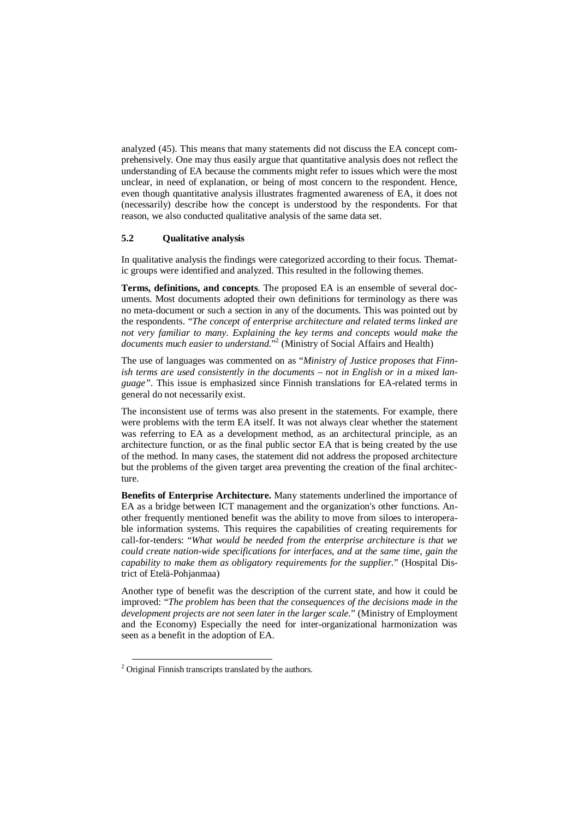analyzed (45). This means that many statements did not discuss the EA concept comprehensively. One may thus easily argue that quantitative analysis does not reflect the understanding of EA because the comments might refer to issues which were the most unclear, in need of explanation, or being of most concern to the respondent. Hence, even though quantitative analysis illustrates fragmented awareness of EA, it does not (necessarily) describe how the concept is understood by the respondents. For that reason, we also conducted qualitative analysis of the same data set.

#### **5.2 Qualitative analysis**

In qualitative analysis the findings were categorized according to their focus. Thematic groups were identified and analyzed. This resulted in the following themes.

**Terms, definitions, and concepts**. The proposed EA is an ensemble of several documents. Most documents adopted their own definitions for terminology as there was no meta-document or such a section in any of the documents. This was pointed out by the respondents. "*The concept of enterprise architecture and related terms linked are not very familiar to many*. *Explaining the key terms and concepts would make the documents much easier to understand*."<sup>2</sup> (Ministry of Social Affairs and Health)

The use of languages was commented on as "*Ministry of Justice proposes that Finnish terms are used consistently in the documents – not in English or in a mixed language"*. This issue is emphasized since Finnish translations for EA-related terms in general do not necessarily exist.

The inconsistent use of terms was also present in the statements. For example, there were problems with the term EA itself. It was not always clear whether the statement was referring to EA as a development method, as an architectural principle, as an architecture function, or as the final public sector EA that is being created by the use of the method. In many cases, the statement did not address the proposed architecture but the problems of the given target area preventing the creation of the final architecture.

**Benefits of Enterprise Architecture.** Many statements underlined the importance of EA as a bridge between ICT management and the organization's other functions. Another frequently mentioned benefit was the ability to move from siloes to interoperable information systems. This requires the capabilities of creating requirements for call-for-tenders: "*What would be needed from the enterprise architecture is that we could create nation-wide specifications for interfaces, and at the same time, gain the capability to make them as obligatory requirements for the supplier.*" (Hospital District of Etelä-Pohjanmaa)

Another type of benefit was the description of the current state, and how it could be improved: "*The problem has been that the consequences of the decisions made in the development projects are not seen later in the larger scale.*" (Ministry of Employment and the Economy) Especially the need for inter-organizational harmonization was seen as a benefit in the adoption of EA.

-

 $2$  Original Finnish transcripts translated by the authors.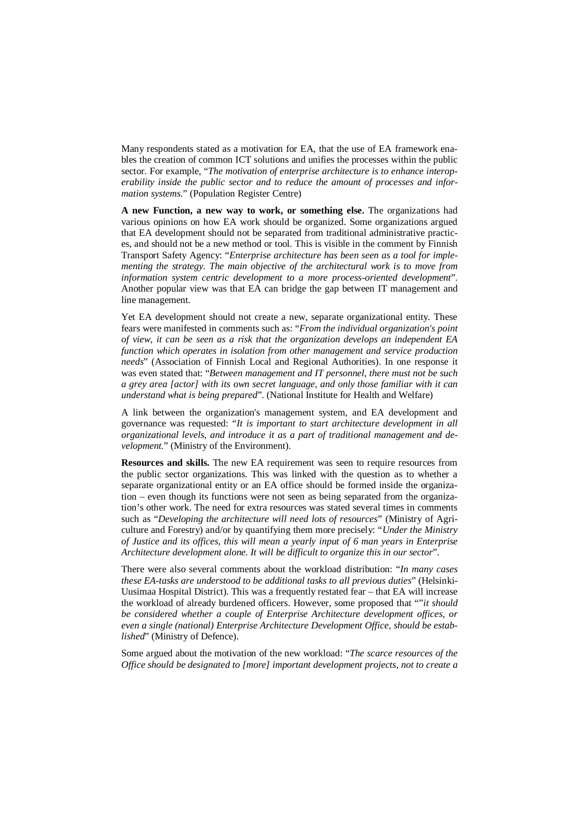Many respondents stated as a motivation for EA, that the use of EA framework enables the creation of common ICT solutions and unifies the processes within the public sector. For example, "*The motivation of enterprise architecture is to enhance interoperability inside the public sector and to reduce the amount of processes and information systems.*" (Population Register Centre)

**A new Function, a new way to work, or something else.** The organizations had various opinions on how EA work should be organized. Some organizations argued that EA development should not be separated from traditional administrative practices, and should not be a new method or tool. This is visible in the comment by Finnish Transport Safety Agency: "*Enterprise architecture has been seen as a tool for implementing the strategy. The main objective of the architectural work is to move from information system centric development to a more process-oriented development*". Another popular view was that EA can bridge the gap between IT management and line management.

Yet EA development should not create a new, separate organizational entity. These fears were manifested in comments such as: "*From the individual organization's point of view, it can be seen as a risk that the organization develops an independent EA function which operates in isolation from other management and service production needs*" (Association of Finnish Local and Regional Authorities). In one response it was even stated that: "*Between management and IT personnel, there must not be such a grey area [actor] with its own secret language, and only those familiar with it can understand what is being prepared*". (National Institute for Health and Welfare)

A link between the organization's management system, and EA development and governance was requested: "*It is important to start architecture development in all organizational levels, and introduce it as a part of traditional management and development.*" (Ministry of the Environment).

**Resources and skills.** The new EA requirement was seen to require resources from the public sector organizations. This was linked with the question as to whether a separate organizational entity or an EA office should be formed inside the organization – even though its functions were not seen as being separated from the organization's other work. The need for extra resources was stated several times in comments such as "*Developing the architecture will need lots of resources*" (Ministry of Agriculture and Forestry) and/or by quantifying them more precisely: "*Under the Ministry of Justice and its offices, this will mean a yearly input of 6 man years in Enterprise Architecture development alone. It will be difficult to organize this in our sector*".

There were also several comments about the workload distribution: "*In many cases these EA-tasks are understood to be additional tasks to all previous duties*" (Helsinki-Uusimaa Hospital District). This was a frequently restated fear – that EA will increase the workload of already burdened officers. However, some proposed that ""*it should be considered whether a couple of Enterprise Architecture development offices, or even a single (national) Enterprise Architecture Development Office, should be established*" (Ministry of Defence).

Some argued about the motivation of the new workload: "*The scarce resources of the Office should be designated to [more] important development projects, not to create a*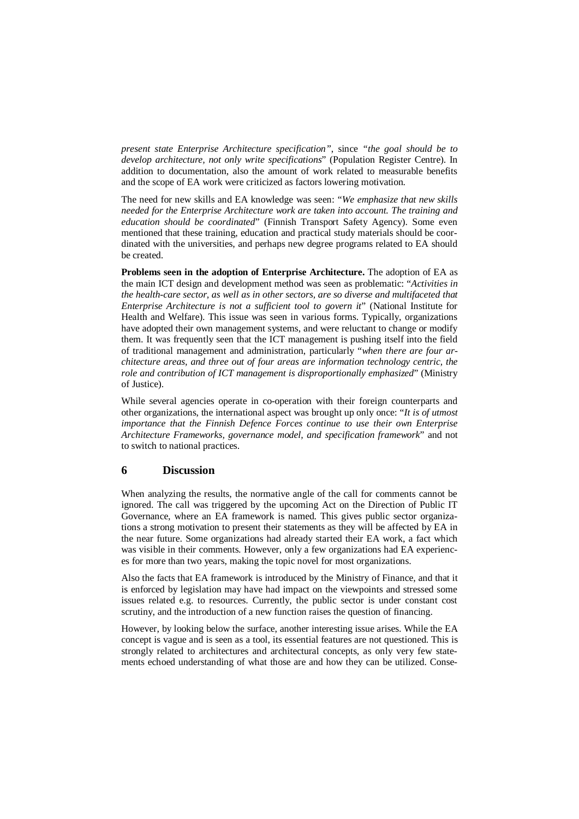*present state Enterprise Architecture specification"*, since *"the goal should be to develop architecture, not only write specifications*" (Population Register Centre). In addition to documentation, also the amount of work related to measurable benefits and the scope of EA work were criticized as factors lowering motivation.

The need for new skills and EA knowledge was seen: "*We emphasize that new skills needed for the Enterprise Architecture work are taken into account. The training and education should be coordinated*" (Finnish Transport Safety Agency). Some even mentioned that these training, education and practical study materials should be coordinated with the universities, and perhaps new degree programs related to EA should be created.

**Problems seen in the adoption of Enterprise Architecture.** The adoption of EA as the main ICT design and development method was seen as problematic: "*Activities in the health-care sector, as well as in other sectors, are so diverse and multifaceted that Enterprise Architecture is not a sufficient tool to govern it*" (National Institute for Health and Welfare). This issue was seen in various forms. Typically, organizations have adopted their own management systems, and were reluctant to change or modify them. It was frequently seen that the ICT management is pushing itself into the field of traditional management and administration, particularly "*when there are four architecture areas, and three out of four areas are information technology centric, the role and contribution of ICT management is disproportionally emphasized*" (Ministry of Justice).

While several agencies operate in co-operation with their foreign counterparts and other organizations, the international aspect was brought up only once: "*It is of utmost importance that the Finnish Defence Forces continue to use their own Enterprise Architecture Frameworks, governance model, and specification framework*" and not to switch to national practices.

## **6 Discussion**

When analyzing the results, the normative angle of the call for comments cannot be ignored. The call was triggered by the upcoming Act on the Direction of Public IT Governance, where an EA framework is named. This gives public sector organizations a strong motivation to present their statements as they will be affected by EA in the near future. Some organizations had already started their EA work, a fact which was visible in their comments. However, only a few organizations had EA experiences for more than two years, making the topic novel for most organizations.

Also the facts that EA framework is introduced by the Ministry of Finance, and that it is enforced by legislation may have had impact on the viewpoints and stressed some issues related e.g. to resources. Currently, the public sector is under constant cost scrutiny, and the introduction of a new function raises the question of financing.

However, by looking below the surface, another interesting issue arises. While the EA concept is vague and is seen as a tool, its essential features are not questioned. This is strongly related to architectures and architectural concepts, as only very few statements echoed understanding of what those are and how they can be utilized. Conse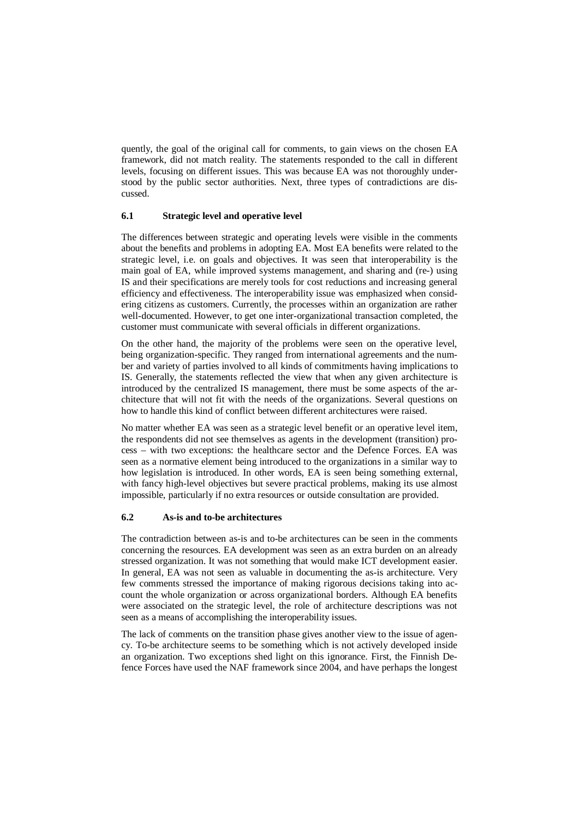quently, the goal of the original call for comments, to gain views on the chosen EA framework, did not match reality. The statements responded to the call in different levels, focusing on different issues. This was because EA was not thoroughly understood by the public sector authorities. Next, three types of contradictions are discussed.

#### **6.1 Strategic level and operative level**

The differences between strategic and operating levels were visible in the comments about the benefits and problems in adopting EA. Most EA benefits were related to the strategic level, i.e. on goals and objectives. It was seen that interoperability is the main goal of EA, while improved systems management, and sharing and (re-) using IS and their specifications are merely tools for cost reductions and increasing general efficiency and effectiveness. The interoperability issue was emphasized when considering citizens as customers. Currently, the processes within an organization are rather well-documented. However, to get one inter-organizational transaction completed, the customer must communicate with several officials in different organizations.

On the other hand, the majority of the problems were seen on the operative level, being organization-specific. They ranged from international agreements and the number and variety of parties involved to all kinds of commitments having implications to IS. Generally, the statements reflected the view that when any given architecture is introduced by the centralized IS management, there must be some aspects of the architecture that will not fit with the needs of the organizations. Several questions on how to handle this kind of conflict between different architectures were raised.

No matter whether EA was seen as a strategic level benefit or an operative level item, the respondents did not see themselves as agents in the development (transition) process – with two exceptions: the healthcare sector and the Defence Forces. EA was seen as a normative element being introduced to the organizations in a similar way to how legislation is introduced. In other words, EA is seen being something external, with fancy high-level objectives but severe practical problems, making its use almost impossible, particularly if no extra resources or outside consultation are provided.

#### **6.2 As-is and to-be architectures**

The contradiction between as-is and to-be architectures can be seen in the comments concerning the resources. EA development was seen as an extra burden on an already stressed organization. It was not something that would make ICT development easier. In general, EA was not seen as valuable in documenting the as-is architecture. Very few comments stressed the importance of making rigorous decisions taking into account the whole organization or across organizational borders. Although EA benefits were associated on the strategic level, the role of architecture descriptions was not seen as a means of accomplishing the interoperability issues.

The lack of comments on the transition phase gives another view to the issue of agency. To-be architecture seems to be something which is not actively developed inside an organization. Two exceptions shed light on this ignorance. First, the Finnish Defence Forces have used the NAF framework since 2004, and have perhaps the longest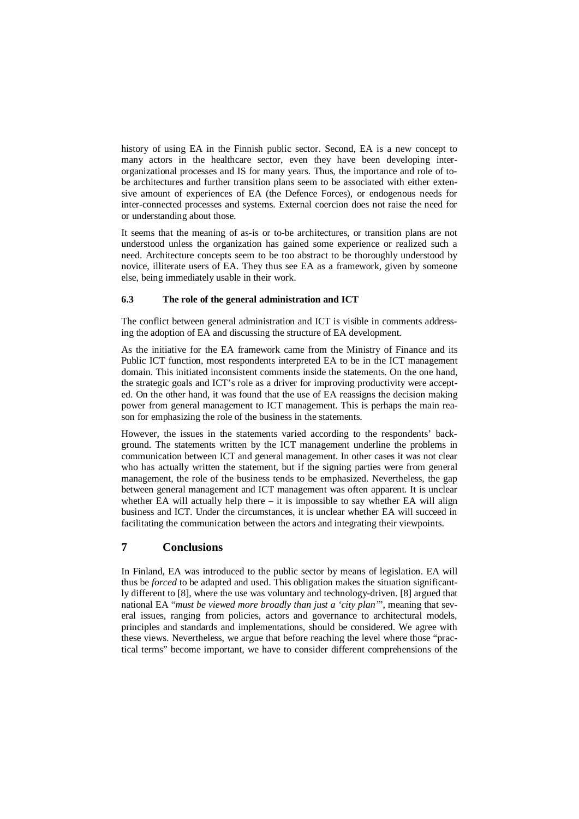history of using EA in the Finnish public sector. Second, EA is a new concept to many actors in the healthcare sector, even they have been developing interorganizational processes and IS for many years. Thus, the importance and role of tobe architectures and further transition plans seem to be associated with either extensive amount of experiences of EA (the Defence Forces), or endogenous needs for inter-connected processes and systems. External coercion does not raise the need for or understanding about those.

It seems that the meaning of as-is or to-be architectures, or transition plans are not understood unless the organization has gained some experience or realized such a need. Architecture concepts seem to be too abstract to be thoroughly understood by novice, illiterate users of EA. They thus see EA as a framework, given by someone else, being immediately usable in their work.

#### **6.3 The role of the general administration and ICT**

The conflict between general administration and ICT is visible in comments addressing the adoption of EA and discussing the structure of EA development.

As the initiative for the EA framework came from the Ministry of Finance and its Public ICT function, most respondents interpreted EA to be in the ICT management domain. This initiated inconsistent comments inside the statements. On the one hand, the strategic goals and ICT's role as a driver for improving productivity were accepted. On the other hand, it was found that the use of EA reassigns the decision making power from general management to ICT management. This is perhaps the main reason for emphasizing the role of the business in the statements.

However, the issues in the statements varied according to the respondents' background. The statements written by the ICT management underline the problems in communication between ICT and general management. In other cases it was not clear who has actually written the statement, but if the signing parties were from general management, the role of the business tends to be emphasized. Nevertheless, the gap between general management and ICT management was often apparent. It is unclear whether EA will actually help there – it is impossible to say whether EA will align business and ICT. Under the circumstances, it is unclear whether EA will succeed in facilitating the communication between the actors and integrating their viewpoints.

# **7 Conclusions**

In Finland, EA was introduced to the public sector by means of legislation. EA will thus be *forced* to be adapted and used. This obligation makes the situation significantly different to [8], where the use was voluntary and technology-driven. [8] argued that national EA "*must be viewed more broadly than just a 'city plan'*", meaning that several issues, ranging from policies, actors and governance to architectural models, principles and standards and implementations, should be considered. We agree with these views. Nevertheless, we argue that before reaching the level where those "practical terms" become important, we have to consider different comprehensions of the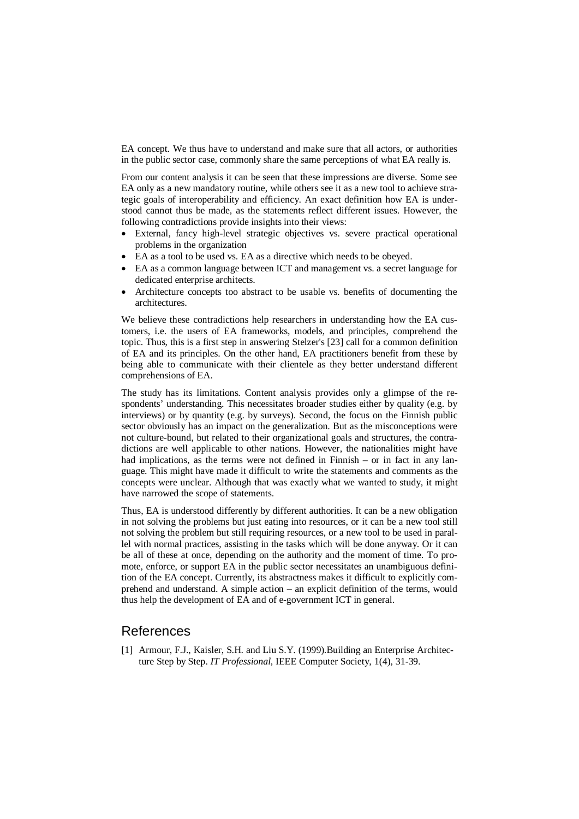EA concept. We thus have to understand and make sure that all actors, or authorities in the public sector case, commonly share the same perceptions of what EA really is.

From our content analysis it can be seen that these impressions are diverse. Some see EA only as a new mandatory routine, while others see it as a new tool to achieve strategic goals of interoperability and efficiency. An exact definition how EA is understood cannot thus be made, as the statements reflect different issues. However, the following contradictions provide insights into their views:

- x External, fancy high-level strategic objectives vs. severe practical operational problems in the organization
- EA as a tool to be used vs. EA as a directive which needs to be obeyed.
- EA as a common language between ICT and management vs. a secret language for dedicated enterprise architects.
- Architecture concepts too abstract to be usable vs. benefits of documenting the architectures.

We believe these contradictions help researchers in understanding how the EA customers, i.e. the users of EA frameworks, models, and principles, comprehend the topic. Thus, this is a first step in answering Stelzer's [23] call for a common definition of EA and its principles. On the other hand, EA practitioners benefit from these by being able to communicate with their clientele as they better understand different comprehensions of EA.

The study has its limitations. Content analysis provides only a glimpse of the respondents' understanding. This necessitates broader studies either by quality (e.g. by interviews) or by quantity (e.g. by surveys). Second, the focus on the Finnish public sector obviously has an impact on the generalization. But as the misconceptions were not culture-bound, but related to their organizational goals and structures, the contradictions are well applicable to other nations. However, the nationalities might have had implications, as the terms were not defined in Finnish – or in fact in any language. This might have made it difficult to write the statements and comments as the concepts were unclear. Although that was exactly what we wanted to study, it might have narrowed the scope of statements.

Thus, EA is understood differently by different authorities. It can be a new obligation in not solving the problems but just eating into resources, or it can be a new tool still not solving the problem but still requiring resources, or a new tool to be used in parallel with normal practices, assisting in the tasks which will be done anyway. Or it can be all of these at once, depending on the authority and the moment of time. To promote, enforce, or support EA in the public sector necessitates an unambiguous definition of the EA concept. Currently, its abstractness makes it difficult to explicitly comprehend and understand. A simple action – an explicit definition of the terms, would thus help the development of EA and of e-government ICT in general.

# References

[1] Armour, F.J., Kaisler, S.H. and Liu S.Y. (1999). Building an Enterprise Architecture Step by Step. *IT Professional*, IEEE Computer Society, 1(4), 31-39.